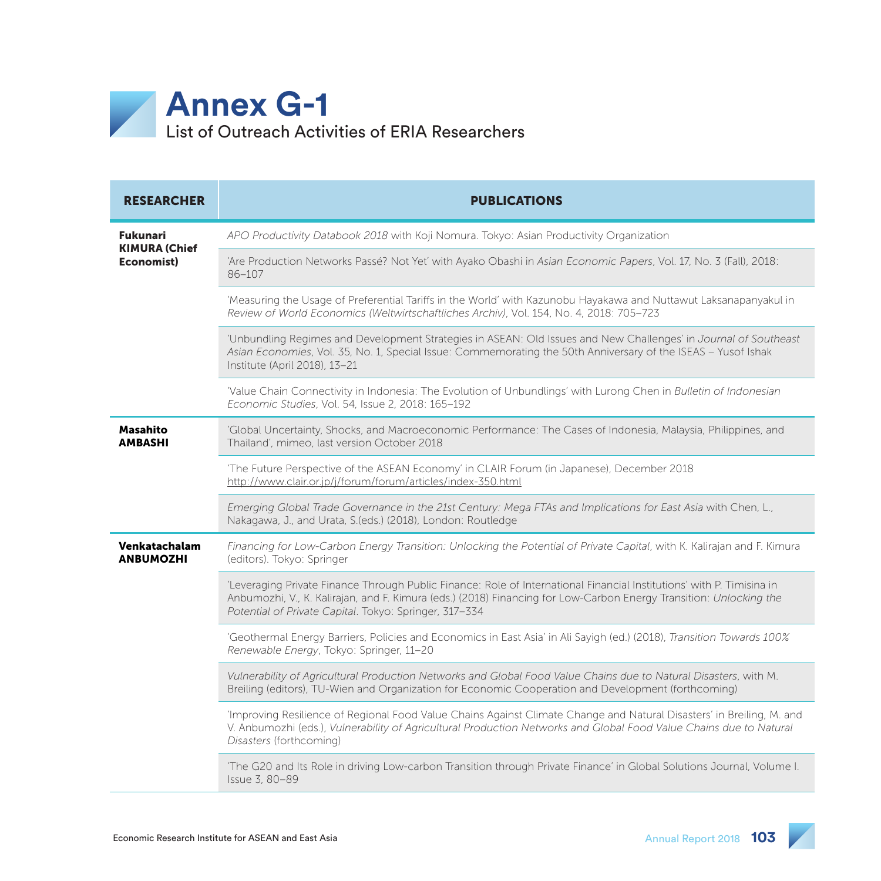

| <b>RESEARCHER</b>                                     | <b>PUBLICATIONS</b>                                                                                                                                                                                                                                                                                   |
|-------------------------------------------------------|-------------------------------------------------------------------------------------------------------------------------------------------------------------------------------------------------------------------------------------------------------------------------------------------------------|
| <b>Fukunari</b><br><b>KIMURA (Chief</b><br>Economist) | APO Productivity Databook 2018 with Koji Nomura. Tokyo: Asian Productivity Organization                                                                                                                                                                                                               |
|                                                       | 'Are Production Networks Passé? Not Yet' with Ayako Obashi in Asian Economic Papers, Vol. 17, No. 3 (Fall), 2018:<br>86-107                                                                                                                                                                           |
|                                                       | 'Measuring the Usage of Preferential Tariffs in the World' with Kazunobu Hayakawa and Nuttawut Laksanapanyakul in<br>Review of World Economics (Weltwirtschaftliches Archiv), Vol. 154, No. 4, 2018: 705-723                                                                                          |
|                                                       | 'Unbundling Regimes and Development Strategies in ASEAN: Old Issues and New Challenges' in Journal of Southeast<br>Asian Economies, Vol. 35, No. 1, Special Issue: Commemorating the 50th Anniversary of the ISEAS - Yusof Ishak<br>Institute (April 2018), 13-21                                     |
|                                                       | 'Value Chain Connectivity in Indonesia: The Evolution of Unbundlings' with Lurong Chen in Bulletin of Indonesian<br>Economic Studies, Vol. 54, Issue 2, 2018: 165-192                                                                                                                                 |
| Masahito<br><b>AMBASHI</b>                            | 'Global Uncertainty, Shocks, and Macroeconomic Performance: The Cases of Indonesia, Malaysia, Philippines, and<br>Thailand', mimeo, last version October 2018                                                                                                                                         |
|                                                       | 'The Future Perspective of the ASEAN Economy' in CLAIR Forum (in Japanese), December 2018<br>http://www.clair.or.jp/j/forum/forum/articles/index-350.html                                                                                                                                             |
|                                                       | Emerging Global Trade Governance in the 21st Century: Mega FTAs and Implications for East Asia with Chen, L.,<br>Nakagawa, J., and Urata, S.(eds.) (2018), London: Routledge                                                                                                                          |
| Venkatachalam<br><b>ANBUMOZHI</b>                     | Financing for Low-Carbon Energy Transition: Unlocking the Potential of Private Capital, with K. Kalirajan and F. Kimura<br>(editors). Tokyo: Springer                                                                                                                                                 |
|                                                       | 'Leveraging Private Finance Through Public Finance: Role of International Financial Institutions' with P. Timisina in<br>Anbumozhi, V., K. Kalirajan, and F. Kimura (eds.) (2018) Financing for Low-Carbon Energy Transition: Unlocking the<br>Potential of Private Capital. Tokyo: Springer, 317-334 |
|                                                       | 'Geothermal Energy Barriers, Policies and Economics in East Asia' in Ali Sayigh (ed.) (2018), Transition Towards 100%<br>Renewable Energy, Tokyo: Springer, 11-20                                                                                                                                     |
|                                                       | Vulnerability of Agricultural Production Networks and Global Food Value Chains due to Natural Disasters, with M.<br>Breiling (editors), TU-Wien and Organization for Economic Cooperation and Development (forthcoming)                                                                               |
|                                                       | 'Improving Resilience of Regional Food Value Chains Against Climate Change and Natural Disasters' in Breiling, M. and<br>V. Anbumozhi (eds.), Vulnerability of Agricultural Production Networks and Global Food Value Chains due to Natural<br>Disasters (forthcoming)                                |
|                                                       | 'The G20 and Its Role in driving Low-carbon Transition through Private Finance' in Global Solutions Journal, Volume I.<br>Issue 3, 80-89                                                                                                                                                              |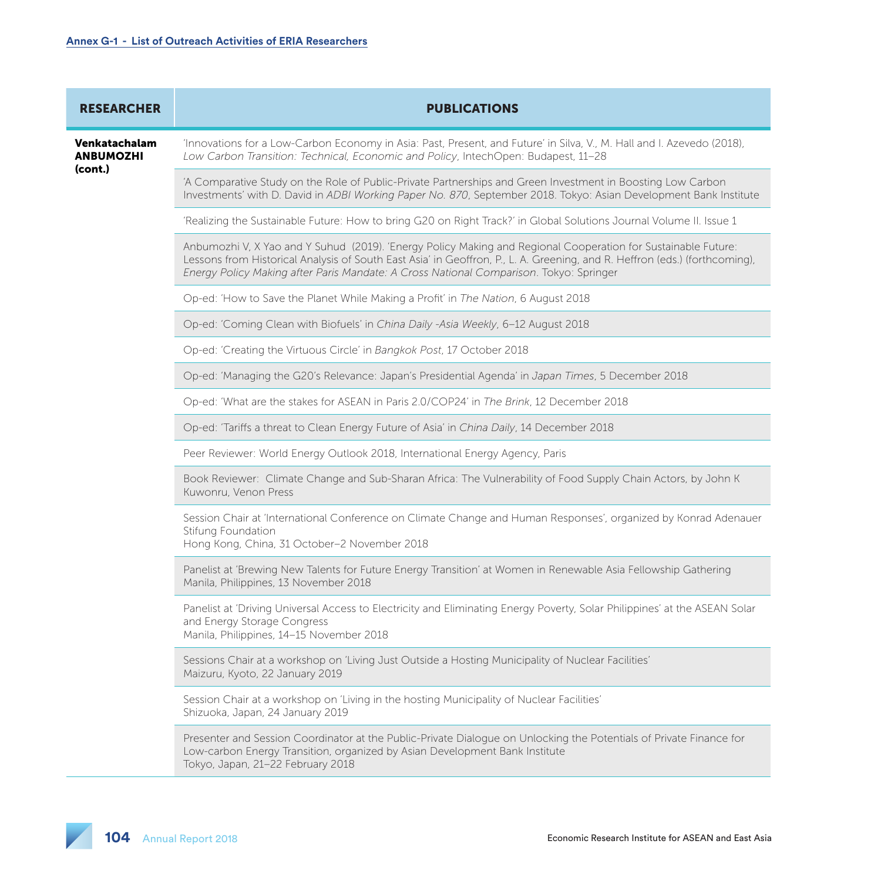| <b>RESEARCHER</b>                            | <b>PUBLICATIONS</b>                                                                                                                                                                                                                                                                                                                   |
|----------------------------------------------|---------------------------------------------------------------------------------------------------------------------------------------------------------------------------------------------------------------------------------------------------------------------------------------------------------------------------------------|
| Venkatachalam<br><b>ANBUMOZHI</b><br>(cont.) | 'Innovations for a Low-Carbon Economy in Asia: Past, Present, and Future' in Silva, V., M. Hall and I. Azevedo (2018),<br>Low Carbon Transition: Technical, Economic and Policy, IntechOpen: Budapest, 11-28                                                                                                                          |
|                                              | 'A Comparative Study on the Role of Public-Private Partnerships and Green Investment in Boosting Low Carbon<br>Investments' with D. David in ADBI Working Paper No. 870, September 2018. Tokyo: Asian Development Bank Institute                                                                                                      |
|                                              | 'Realizing the Sustainable Future: How to bring G20 on Right Track?' in Global Solutions Journal Volume II. Issue 1                                                                                                                                                                                                                   |
|                                              | Anbumozhi V, X Yao and Y Suhud (2019). 'Energy Policy Making and Regional Cooperation for Sustainable Future:<br>Lessons from Historical Analysis of South East Asia' in Geoffron, P., L. A. Greening, and R. Heffron (eds.) (forthcoming),<br>Energy Policy Making after Paris Mandate: A Cross National Comparison. Tokyo: Springer |
|                                              | Op-ed: 'How to Save the Planet While Making a Profit' in The Nation, 6 August 2018                                                                                                                                                                                                                                                    |
|                                              | Op-ed: 'Coming Clean with Biofuels' in China Daily -Asia Weekly, 6-12 August 2018                                                                                                                                                                                                                                                     |
|                                              | Op-ed: 'Creating the Virtuous Circle' in Bangkok Post, 17 October 2018                                                                                                                                                                                                                                                                |
|                                              | Op-ed: 'Managing the G20's Relevance: Japan's Presidential Agenda' in Japan Times, 5 December 2018                                                                                                                                                                                                                                    |
|                                              | Op-ed: 'What are the stakes for ASEAN in Paris 2.0/COP24' in The Brink, 12 December 2018                                                                                                                                                                                                                                              |
|                                              | Op-ed: 'Tariffs a threat to Clean Energy Future of Asia' in China Daily, 14 December 2018                                                                                                                                                                                                                                             |
|                                              | Peer Reviewer: World Energy Outlook 2018, International Energy Agency, Paris                                                                                                                                                                                                                                                          |
|                                              | Book Reviewer: Climate Change and Sub-Sharan Africa: The Vulnerability of Food Supply Chain Actors, by John K<br>Kuwonru, Venon Press                                                                                                                                                                                                 |
|                                              | Session Chair at 'International Conference on Climate Change and Human Responses', organized by Konrad Adenauer<br>Stifung Foundation<br>Hong Kong, China, 31 October-2 November 2018                                                                                                                                                 |
|                                              | Panelist at 'Brewing New Talents for Future Energy Transition' at Women in Renewable Asia Fellowship Gathering<br>Manila, Philippines, 13 November 2018                                                                                                                                                                               |
|                                              | Panelist at 'Driving Universal Access to Electricity and Eliminating Energy Poverty, Solar Philippines' at the ASEAN Solar<br>and Energy Storage Congress<br>Manila, Philippines, 14-15 November 2018                                                                                                                                 |
|                                              | Sessions Chair at a workshop on 'Living Just Outside a Hosting Municipality of Nuclear Facilities'<br>Maizuru, Kyoto, 22 January 2019                                                                                                                                                                                                 |
|                                              | Session Chair at a workshop on 'Living in the hosting Municipality of Nuclear Facilities'<br>Shizuoka, Japan, 24 January 2019                                                                                                                                                                                                         |
|                                              | Presenter and Session Coordinator at the Public-Private Dialogue on Unlocking the Potentials of Private Finance for<br>Low-carbon Energy Transition, organized by Asian Development Bank Institute<br>Tokyo, Japan, 21-22 February 2018                                                                                               |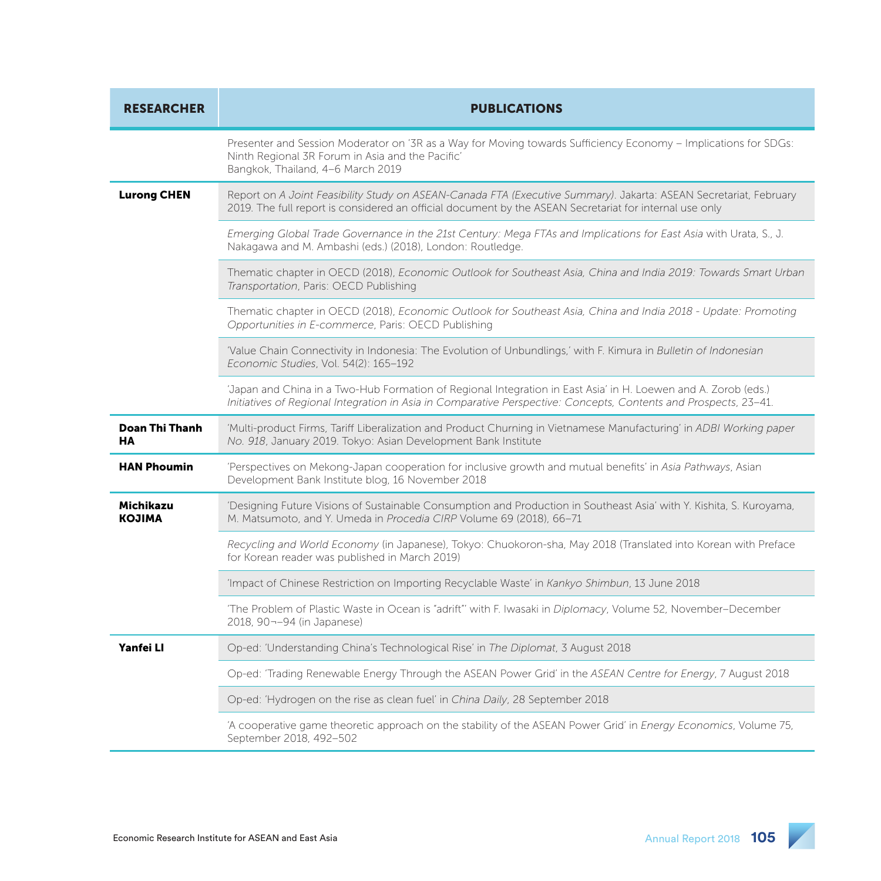| <b>RESEARCHER</b>          | <b>PUBLICATIONS</b>                                                                                                                                                                                                                |
|----------------------------|------------------------------------------------------------------------------------------------------------------------------------------------------------------------------------------------------------------------------------|
|                            | Presenter and Session Moderator on '3R as a Way for Moving towards Sufficiency Economy - Implications for SDGs:<br>Ninth Regional 3R Forum in Asia and the Pacific'<br>Bangkok, Thailand, 4-6 March 2019                           |
| <b>Lurong CHEN</b>         | Report on A Joint Feasibility Study on ASEAN-Canada FTA (Executive Summary). Jakarta: ASEAN Secretariat, February<br>2019. The full report is considered an official document by the ASEAN Secretariat for internal use only       |
|                            | Emerging Global Trade Governance in the 21st Century: Mega FTAs and Implications for East Asia with Urata, S., J.<br>Nakagawa and M. Ambashi (eds.) (2018), London: Routledge.                                                     |
|                            | Thematic chapter in OECD (2018), Economic Outlook for Southeast Asia, China and India 2019: Towards Smart Urban<br>Transportation, Paris: OECD Publishing                                                                          |
|                            | Thematic chapter in OECD (2018), Economic Outlook for Southeast Asia, China and India 2018 - Update: Promoting<br>Opportunities in E-commerce, Paris: OECD Publishing                                                              |
|                            | 'Value Chain Connectivity in Indonesia: The Evolution of Unbundlings,' with F. Kimura in Bulletin of Indonesian<br>Economic Studies, Vol. 54(2): 165-192                                                                           |
|                            | 'Japan and China in a Two-Hub Formation of Regional Integration in East Asia' in H. Loewen and A. Zorob (eds.)<br>Initiatives of Regional Integration in Asia in Comparative Perspective: Concepts, Contents and Prospects, 23-41. |
| Doan Thi Thanh<br>HA       | 'Multi-product Firms, Tariff Liberalization and Product Churning in Vietnamese Manufacturing' in ADBI Working paper<br>No. 918, January 2019. Tokyo: Asian Development Bank Institute                                              |
| <b>HAN Phoumin</b>         | 'Perspectives on Mekong-Japan cooperation for inclusive growth and mutual benefits' in Asia Pathways, Asian<br>Development Bank Institute blog, 16 November 2018                                                                   |
| Michikazu<br><b>KOJIMA</b> | 'Designing Future Visions of Sustainable Consumption and Production in Southeast Asia' with Y. Kishita, S. Kuroyama,<br>M. Matsumoto, and Y. Umeda in Procedia CIRP Volume 69 (2018), 66-71                                        |
|                            | Recycling and World Economy (in Japanese), Tokyo: Chuokoron-sha, May 2018 (Translated into Korean with Preface<br>for Korean reader was published in March 2019)                                                                   |
|                            | 'Impact of Chinese Restriction on Importing Recyclable Waste' in Kankyo Shimbun, 13 June 2018                                                                                                                                      |
|                            | 'The Problem of Plastic Waste in Ocean is "adrift"' with F. Iwasaki in Diplomacy, Volume 52, November-December<br>2018, 90--94 (in Japanese)                                                                                       |
| Yanfei Ll                  | Op-ed: 'Understanding China's Technological Rise' in The Diplomat, 3 August 2018                                                                                                                                                   |
|                            | Op-ed: 'Trading Renewable Energy Through the ASEAN Power Grid' in the ASEAN Centre for Energy, 7 August 2018                                                                                                                       |
|                            | Op-ed: 'Hydrogen on the rise as clean fuel' in China Daily, 28 September 2018                                                                                                                                                      |
|                            | 'A cooperative game theoretic approach on the stability of the ASEAN Power Grid' in Energy Economics, Volume 75,<br>September 2018, 492-502                                                                                        |